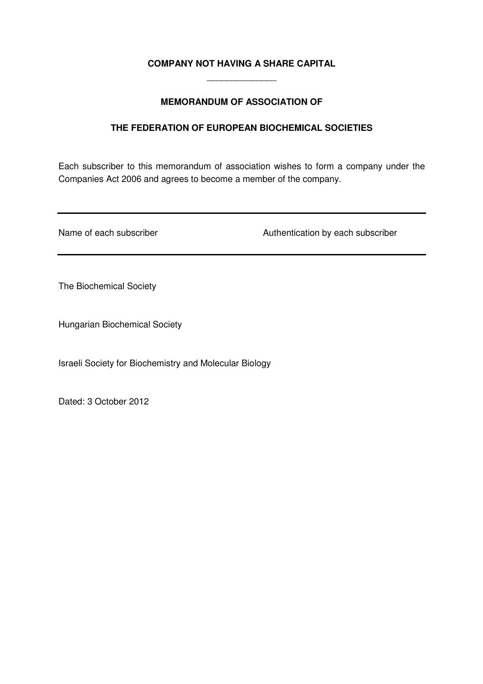# **COMPANY NOT HAVING A SHARE CAPITAL**  \_\_\_\_\_\_\_\_\_\_\_\_\_\_

# **MEMORANDUM OF ASSOCIATION OF**

# **THE FEDERATION OF EUROPEAN BIOCHEMICAL SOCIETIES**

Each subscriber to this memorandum of association wishes to form a company under the Companies Act 2006 and agrees to become a member of the company.

Name of each subscriber **Authentication by each subscriber** Authentication by each subscriber

The Biochemical Society

Hungarian Biochemical Society

Israeli Society for Biochemistry and Molecular Biology

Dated: 3 October 2012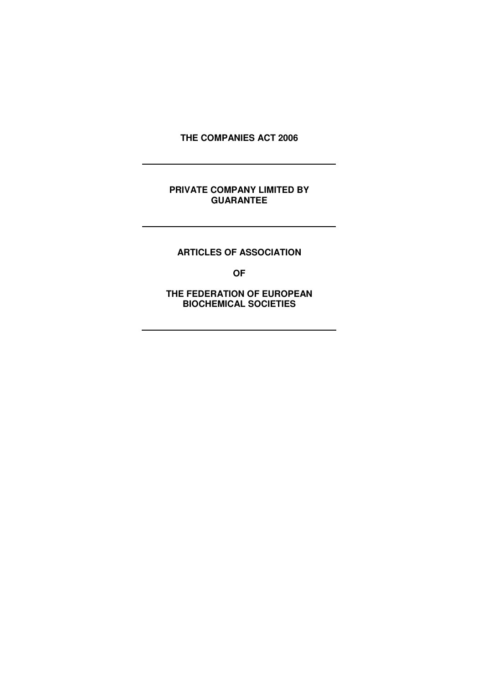**THE COMPANIES ACT 2006** 

## **PRIVATE COMPANY LIMITED BY GUARANTEE**

**ARTICLES OF ASSOCIATION**

**OF**

**THE FEDERATION OF EUROPEAN BIOCHEMICAL SOCIETIES**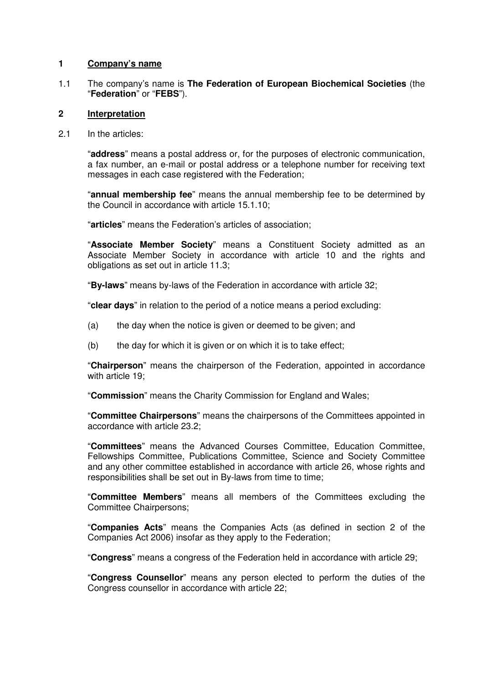### **1 Company's name**

1.1 The company's name is **The Federation of European Biochemical Societies** (the "**Federation**" or "**FEBS**").

### **2 Interpretation**

2.1 In the articles:

"**address**" means a postal address or, for the purposes of electronic communication, a fax number, an e-mail or postal address or a telephone number for receiving text messages in each case registered with the Federation;

"**annual membership fee**" means the annual membership fee to be determined by the Council in accordance with article 15.1.10;

"**articles**" means the Federation's articles of association;

"**Associate Member Society**" means a Constituent Society admitted as an Associate Member Society in accordance with article 10 and the rights and obligations as set out in article 11.3;

"**By-laws**" means by-laws of the Federation in accordance with article 32;

"**clear days**" in relation to the period of a notice means a period excluding:

- (a) the day when the notice is given or deemed to be given; and
- $(b)$  the day for which it is given or on which it is to take effect:

"**Chairperson**" means the chairperson of the Federation, appointed in accordance with article 19:

"**Commission**" means the Charity Commission for England and Wales;

"**Committee Chairpersons**" means the chairpersons of the Committees appointed in accordance with article 23.2;

"**Committees**" means the Advanced Courses Committee, Education Committee, Fellowships Committee, Publications Committee, Science and Society Committee and any other committee established in accordance with article 26, whose rights and responsibilities shall be set out in By-laws from time to time;

"**Committee Members**" means all members of the Committees excluding the Committee Chairpersons;

"**Companies Acts**" means the Companies Acts (as defined in section 2 of the Companies Act 2006) insofar as they apply to the Federation;

"**Congress**" means a congress of the Federation held in accordance with article 29;

"**Congress Counsellor**" means any person elected to perform the duties of the Congress counsellor in accordance with article 22;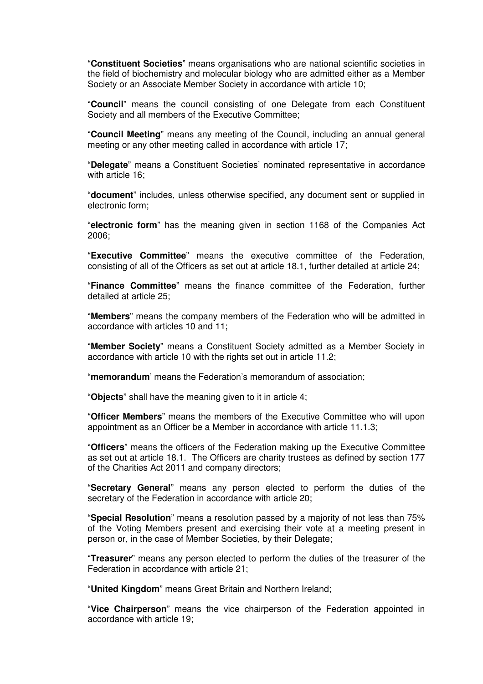"**Constituent Societies**" means organisations who are national scientific societies in the field of biochemistry and molecular biology who are admitted either as a Member Society or an Associate Member Society in accordance with article 10;

"**Council**" means the council consisting of one Delegate from each Constituent Society and all members of the Executive Committee;

"**Council Meeting**" means any meeting of the Council, including an annual general meeting or any other meeting called in accordance with article 17;

"**Delegate**" means a Constituent Societies' nominated representative in accordance with article 16;

"**document**" includes, unless otherwise specified, any document sent or supplied in electronic form;

"**electronic form**" has the meaning given in section 1168 of the Companies Act 2006;

"**Executive Committee**" means the executive committee of the Federation, consisting of all of the Officers as set out at article 18.1, further detailed at article 24;

"**Finance Committee**" means the finance committee of the Federation, further detailed at article 25;

"**Members**" means the company members of the Federation who will be admitted in accordance with articles 10 and 11;

"**Member Society**" means a Constituent Society admitted as a Member Society in accordance with article 10 with the rights set out in article 11.2;

"**memorandum**' means the Federation's memorandum of association;

"**Objects**" shall have the meaning given to it in article 4;

"**Officer Members**" means the members of the Executive Committee who will upon appointment as an Officer be a Member in accordance with article 11.1.3;

"**Officers**" means the officers of the Federation making up the Executive Committee as set out at article 18.1. The Officers are charity trustees as defined by section 177 of the Charities Act 2011 and company directors;

"**Secretary General**" means any person elected to perform the duties of the secretary of the Federation in accordance with article 20;

"**Special Resolution**" means a resolution passed by a majority of not less than 75% of the Voting Members present and exercising their vote at a meeting present in person or, in the case of Member Societies, by their Delegate;

"**Treasurer**" means any person elected to perform the duties of the treasurer of the Federation in accordance with article 21;

"**United Kingdom**" means Great Britain and Northern Ireland;

"**Vice Chairperson**" means the vice chairperson of the Federation appointed in accordance with article 19;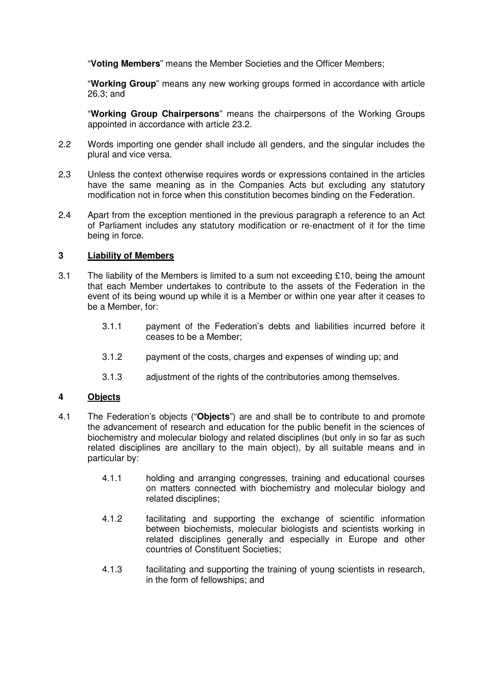"**Voting Members**" means the Member Societies and the Officer Members;

"**Working Group**" means any new working groups formed in accordance with article 26.3; and

"**Working Group Chairpersons**" means the chairpersons of the Working Groups appointed in accordance with article 23.2.

- 2.2 Words importing one gender shall include all genders, and the singular includes the plural and vice versa.
- 2.3 Unless the context otherwise requires words or expressions contained in the articles have the same meaning as in the Companies Acts but excluding any statutory modification not in force when this constitution becomes binding on the Federation.
- 2.4 Apart from the exception mentioned in the previous paragraph a reference to an Act of Parliament includes any statutory modification or re-enactment of it for the time being in force.

# **3 Liability of Members**

- 3.1 The liability of the Members is limited to a sum not exceeding £10, being the amount that each Member undertakes to contribute to the assets of the Federation in the event of its being wound up while it is a Member or within one year after it ceases to be a Member, for:
	- 3.1.1 payment of the Federation's debts and liabilities incurred before it ceases to be a Member;
	- 3.1.2 payment of the costs, charges and expenses of winding up; and
	- 3.1.3 adjustment of the rights of the contributories among themselves.

# **4 Objects**

- 4.1 The Federation's objects ("**Objects**") are and shall be to contribute to and promote the advancement of research and education for the public benefit in the sciences of biochemistry and molecular biology and related disciplines (but only in so far as such related disciplines are ancillary to the main object), by all suitable means and in particular by:
	- 4.1.1 holding and arranging congresses, training and educational courses on matters connected with biochemistry and molecular biology and related disciplines;
	- 4.1.2 facilitating and supporting the exchange of scientific information between biochemists, molecular biologists and scientists working in related disciplines generally and especially in Europe and other countries of Constituent Societies;
	- 4.1.3 facilitating and supporting the training of young scientists in research, in the form of fellowships; and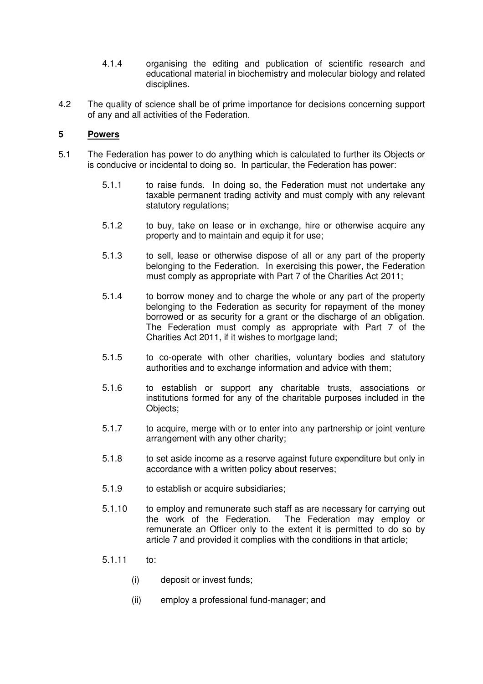- 4.1.4 organising the editing and publication of scientific research and educational material in biochemistry and molecular biology and related disciplines.
- 4.2 The quality of science shall be of prime importance for decisions concerning support of any and all activities of the Federation.

# **5 Powers**

- 5.1 The Federation has power to do anything which is calculated to further its Objects or is conducive or incidental to doing so. In particular, the Federation has power:
	- 5.1.1 to raise funds. In doing so, the Federation must not undertake any taxable permanent trading activity and must comply with any relevant statutory regulations;
	- 5.1.2 to buy, take on lease or in exchange, hire or otherwise acquire any property and to maintain and equip it for use;
	- 5.1.3 to sell, lease or otherwise dispose of all or any part of the property belonging to the Federation. In exercising this power, the Federation must comply as appropriate with Part 7 of the Charities Act 2011;
	- 5.1.4 to borrow money and to charge the whole or any part of the property belonging to the Federation as security for repayment of the money borrowed or as security for a grant or the discharge of an obligation. The Federation must comply as appropriate with Part 7 of the Charities Act 2011, if it wishes to mortgage land;
	- 5.1.5 to co-operate with other charities, voluntary bodies and statutory authorities and to exchange information and advice with them;
	- 5.1.6 to establish or support any charitable trusts, associations or institutions formed for any of the charitable purposes included in the Objects;
	- 5.1.7 to acquire, merge with or to enter into any partnership or joint venture arrangement with any other charity;
	- 5.1.8 to set aside income as a reserve against future expenditure but only in accordance with a written policy about reserves;
	- 5.1.9 to establish or acquire subsidiaries;
	- 5.1.10 to employ and remunerate such staff as are necessary for carrying out the work of the Federation. The Federation may employ or remunerate an Officer only to the extent it is permitted to do so by article 7 and provided it complies with the conditions in that article;
	- 5.1.11 to:
		- (i) deposit or invest funds;
		- (ii) employ a professional fund-manager; and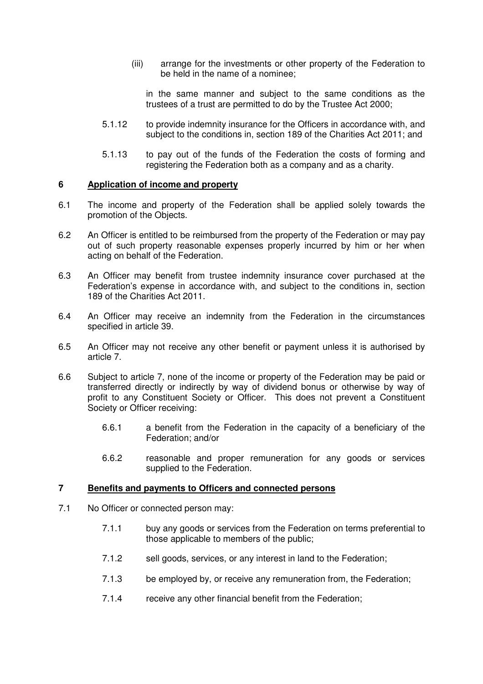(iii) arrange for the investments or other property of the Federation to be held in the name of a nominee;

in the same manner and subject to the same conditions as the trustees of a trust are permitted to do by the Trustee Act 2000;

- 5.1.12 to provide indemnity insurance for the Officers in accordance with, and subject to the conditions in, section 189 of the Charities Act 2011; and
- 5.1.13 to pay out of the funds of the Federation the costs of forming and registering the Federation both as a company and as a charity.

#### **6 Application of income and property**

- 6.1 The income and property of the Federation shall be applied solely towards the promotion of the Objects.
- 6.2 An Officer is entitled to be reimbursed from the property of the Federation or may pay out of such property reasonable expenses properly incurred by him or her when acting on behalf of the Federation.
- 6.3 An Officer may benefit from trustee indemnity insurance cover purchased at the Federation's expense in accordance with, and subject to the conditions in, section 189 of the Charities Act 2011.
- 6.4 An Officer may receive an indemnity from the Federation in the circumstances specified in article 39.
- 6.5 An Officer may not receive any other benefit or payment unless it is authorised by article 7.
- 6.6 Subject to article 7, none of the income or property of the Federation may be paid or transferred directly or indirectly by way of dividend bonus or otherwise by way of profit to any Constituent Society or Officer. This does not prevent a Constituent Society or Officer receiving:
	- 6.6.1 a benefit from the Federation in the capacity of a beneficiary of the Federation; and/or
	- 6.6.2 reasonable and proper remuneration for any goods or services supplied to the Federation.

#### **7 Benefits and payments to Officers and connected persons**

- 7.1 No Officer or connected person may:
	- 7.1.1 buy any goods or services from the Federation on terms preferential to those applicable to members of the public;
	- 7.1.2 sell goods, services, or any interest in land to the Federation;
	- 7.1.3 be employed by, or receive any remuneration from, the Federation;
	- 7.1.4 receive any other financial benefit from the Federation;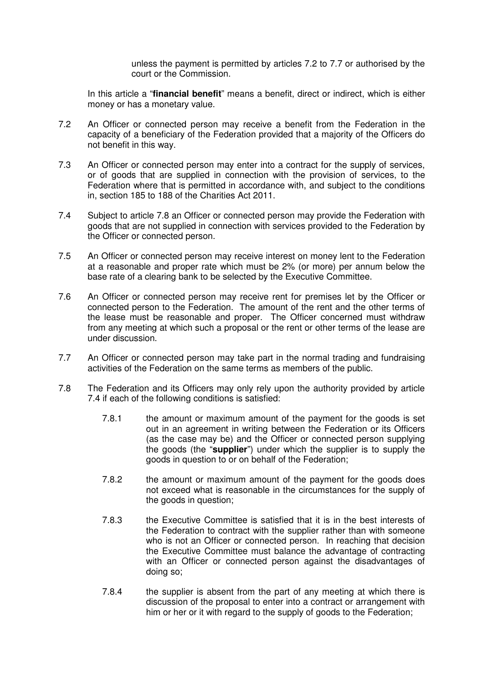unless the payment is permitted by articles 7.2 to 7.7 or authorised by the court or the Commission.

In this article a "**financial benefit**" means a benefit, direct or indirect, which is either money or has a monetary value.

- 7.2 An Officer or connected person may receive a benefit from the Federation in the capacity of a beneficiary of the Federation provided that a majority of the Officers do not benefit in this way.
- 7.3 An Officer or connected person may enter into a contract for the supply of services, or of goods that are supplied in connection with the provision of services, to the Federation where that is permitted in accordance with, and subject to the conditions in, section 185 to 188 of the Charities Act 2011.
- 7.4 Subject to article 7.8 an Officer or connected person may provide the Federation with goods that are not supplied in connection with services provided to the Federation by the Officer or connected person.
- 7.5 An Officer or connected person may receive interest on money lent to the Federation at a reasonable and proper rate which must be 2% (or more) per annum below the base rate of a clearing bank to be selected by the Executive Committee.
- 7.6 An Officer or connected person may receive rent for premises let by the Officer or connected person to the Federation. The amount of the rent and the other terms of the lease must be reasonable and proper. The Officer concerned must withdraw from any meeting at which such a proposal or the rent or other terms of the lease are under discussion.
- 7.7 An Officer or connected person may take part in the normal trading and fundraising activities of the Federation on the same terms as members of the public.
- 7.8 The Federation and its Officers may only rely upon the authority provided by article 7.4 if each of the following conditions is satisfied:
	- 7.8.1 the amount or maximum amount of the payment for the goods is set out in an agreement in writing between the Federation or its Officers (as the case may be) and the Officer or connected person supplying the goods (the "**supplier**") under which the supplier is to supply the goods in question to or on behalf of the Federation;
	- 7.8.2 the amount or maximum amount of the payment for the goods does not exceed what is reasonable in the circumstances for the supply of the goods in question;
	- 7.8.3 the Executive Committee is satisfied that it is in the best interests of the Federation to contract with the supplier rather than with someone who is not an Officer or connected person. In reaching that decision the Executive Committee must balance the advantage of contracting with an Officer or connected person against the disadvantages of doing so;
	- 7.8.4 the supplier is absent from the part of any meeting at which there is discussion of the proposal to enter into a contract or arrangement with him or her or it with regard to the supply of goods to the Federation;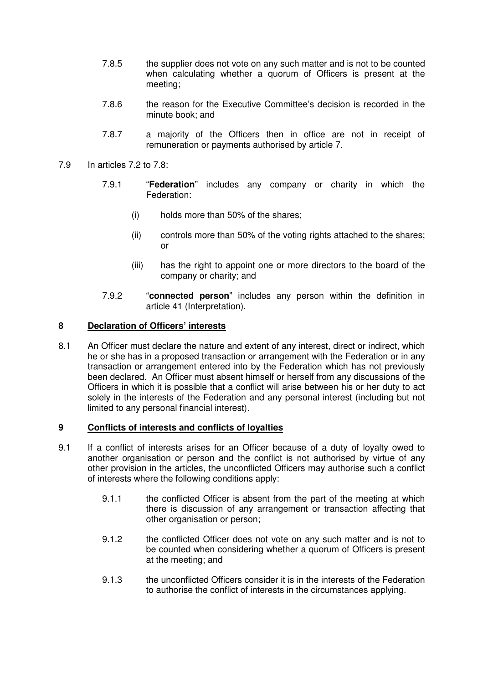- 7.8.5 the supplier does not vote on any such matter and is not to be counted when calculating whether a quorum of Officers is present at the meeting;
- 7.8.6 the reason for the Executive Committee's decision is recorded in the minute book; and
- 7.8.7 a majority of the Officers then in office are not in receipt of remuneration or payments authorised by article 7.
- 7.9 In articles 7.2 to 7.8:
	- 7.9.1 "**Federation**" includes any company or charity in which the Federation:
		- (i) holds more than 50% of the shares;
		- (ii) controls more than 50% of the voting rights attached to the shares; or
		- (iii) has the right to appoint one or more directors to the board of the company or charity; and
	- 7.9.2 "**connected person**" includes any person within the definition in article 41 (Interpretation).

## **8 Declaration of Officers' interests**

8.1 An Officer must declare the nature and extent of any interest, direct or indirect, which he or she has in a proposed transaction or arrangement with the Federation or in any transaction or arrangement entered into by the Federation which has not previously been declared. An Officer must absent himself or herself from any discussions of the Officers in which it is possible that a conflict will arise between his or her duty to act solely in the interests of the Federation and any personal interest (including but not limited to any personal financial interest).

#### **9 Conflicts of interests and conflicts of loyalties**

- 9.1 If a conflict of interests arises for an Officer because of a duty of loyalty owed to another organisation or person and the conflict is not authorised by virtue of any other provision in the articles, the unconflicted Officers may authorise such a conflict of interests where the following conditions apply:
	- 9.1.1 the conflicted Officer is absent from the part of the meeting at which there is discussion of any arrangement or transaction affecting that other organisation or person;
	- 9.1.2 the conflicted Officer does not vote on any such matter and is not to be counted when considering whether a quorum of Officers is present at the meeting; and
	- 9.1.3 the unconflicted Officers consider it is in the interests of the Federation to authorise the conflict of interests in the circumstances applying.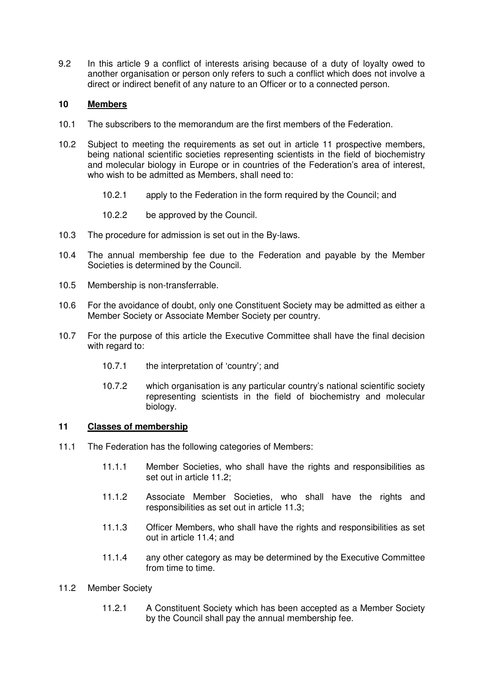9.2 In this article 9 a conflict of interests arising because of a duty of loyalty owed to another organisation or person only refers to such a conflict which does not involve a direct or indirect benefit of any nature to an Officer or to a connected person.

# **10 Members**

- 10.1 The subscribers to the memorandum are the first members of the Federation.
- 10.2 Subject to meeting the requirements as set out in article 11 prospective members, being national scientific societies representing scientists in the field of biochemistry and molecular biology in Europe or in countries of the Federation's area of interest, who wish to be admitted as Members, shall need to:
	- 10.2.1 apply to the Federation in the form required by the Council; and
	- 10.2.2 be approved by the Council.
- 10.3 The procedure for admission is set out in the By-laws.
- 10.4 The annual membership fee due to the Federation and payable by the Member Societies is determined by the Council.
- 10.5 Membership is non-transferrable.
- 10.6 For the avoidance of doubt, only one Constituent Society may be admitted as either a Member Society or Associate Member Society per country.
- 10.7 For the purpose of this article the Executive Committee shall have the final decision with regard to:
	- 10.7.1 the interpretation of 'country'; and
	- 10.7.2 which organisation is any particular country's national scientific society representing scientists in the field of biochemistry and molecular biology.

#### **11 Classes of membership**

- 11.1 The Federation has the following categories of Members:
	- 11.1.1 Member Societies, who shall have the rights and responsibilities as set out in article 11.2;
	- 11.1.2 Associate Member Societies, who shall have the rights and responsibilities as set out in article 11.3;
	- 11.1.3 Officer Members, who shall have the rights and responsibilities as set out in article 11.4; and
	- 11.1.4 any other category as may be determined by the Executive Committee from time to time.
- 11.2 Member Society
	- 11.2.1 A Constituent Society which has been accepted as a Member Society by the Council shall pay the annual membership fee.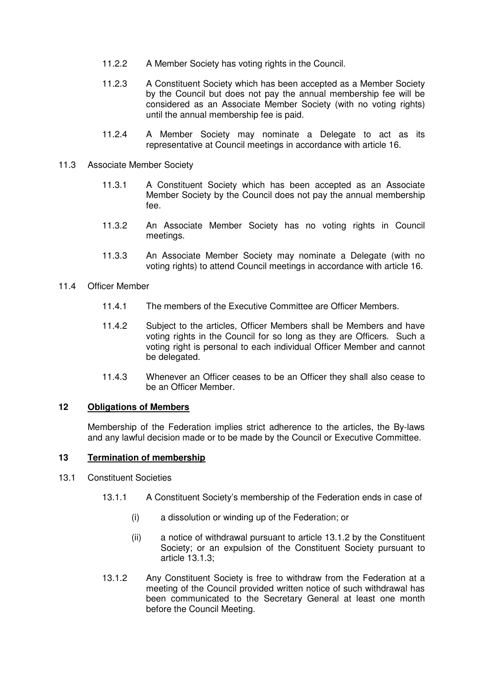- 11.2.2 A Member Society has voting rights in the Council.
- 11.2.3 A Constituent Society which has been accepted as a Member Society by the Council but does not pay the annual membership fee will be considered as an Associate Member Society (with no voting rights) until the annual membership fee is paid.
- 11.2.4 A Member Society may nominate a Delegate to act as its representative at Council meetings in accordance with article 16.
- 11.3 Associate Member Society
	- 11.3.1 A Constituent Society which has been accepted as an Associate Member Society by the Council does not pay the annual membership fee.
	- 11.3.2 An Associate Member Society has no voting rights in Council meetings.
	- 11.3.3 An Associate Member Society may nominate a Delegate (with no voting rights) to attend Council meetings in accordance with article 16.
- 11.4 Officer Member
	- 11.4.1 The members of the Executive Committee are Officer Members.
	- 11.4.2 Subject to the articles, Officer Members shall be Members and have voting rights in the Council for so long as they are Officers. Such a voting right is personal to each individual Officer Member and cannot be delegated.
	- 11.4.3 Whenever an Officer ceases to be an Officer they shall also cease to be an Officer Member.

### **12 Obligations of Members**

Membership of the Federation implies strict adherence to the articles, the By-laws and any lawful decision made or to be made by the Council or Executive Committee.

# **13 Termination of membership**

- 13.1 Constituent Societies
	- 13.1.1 A Constituent Society's membership of the Federation ends in case of
		- (i) a dissolution or winding up of the Federation; or
		- (ii) a notice of withdrawal pursuant to article 13.1.2 by the Constituent Society; or an expulsion of the Constituent Society pursuant to article 13.1.3;
	- 13.1.2 Any Constituent Society is free to withdraw from the Federation at a meeting of the Council provided written notice of such withdrawal has been communicated to the Secretary General at least one month before the Council Meeting.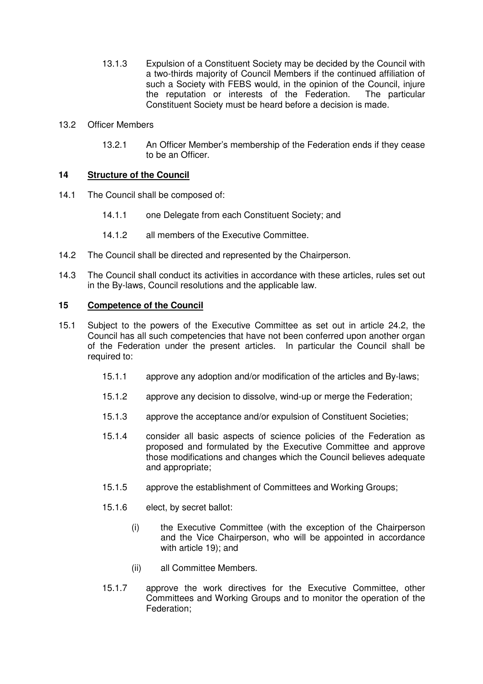- 13.1.3 Expulsion of a Constituent Society may be decided by the Council with a two-thirds majority of Council Members if the continued affiliation of such a Society with FEBS would, in the opinion of the Council, injure the reputation or interests of the Federation. The particular Constituent Society must be heard before a decision is made.
- 13.2 Officer Members
	- 13.2.1 An Officer Member's membership of the Federation ends if they cease to be an Officer.

# **14 Structure of the Council**

- 14.1 The Council shall be composed of:
	- 14.1.1 one Delegate from each Constituent Society; and
	- 14.1.2 all members of the Executive Committee.
- 14.2 The Council shall be directed and represented by the Chairperson.
- 14.3 The Council shall conduct its activities in accordance with these articles, rules set out in the By-laws, Council resolutions and the applicable law.

#### **15 Competence of the Council**

- 15.1 Subject to the powers of the Executive Committee as set out in article 24.2, the Council has all such competencies that have not been conferred upon another organ of the Federation under the present articles. In particular the Council shall be required to:
	- 15.1.1 approve any adoption and/or modification of the articles and By-laws;
	- 15.1.2 approve any decision to dissolve, wind-up or merge the Federation;
	- 15.1.3 approve the acceptance and/or expulsion of Constituent Societies;
	- 15.1.4 consider all basic aspects of science policies of the Federation as proposed and formulated by the Executive Committee and approve those modifications and changes which the Council believes adequate and appropriate;
	- 15.1.5 approve the establishment of Committees and Working Groups;
	- 15.1.6 elect, by secret ballot:
		- (i) the Executive Committee (with the exception of the Chairperson and the Vice Chairperson, who will be appointed in accordance with article 19); and
		- (ii) all Committee Members.
	- 15.1.7 approve the work directives for the Executive Committee, other Committees and Working Groups and to monitor the operation of the Federation;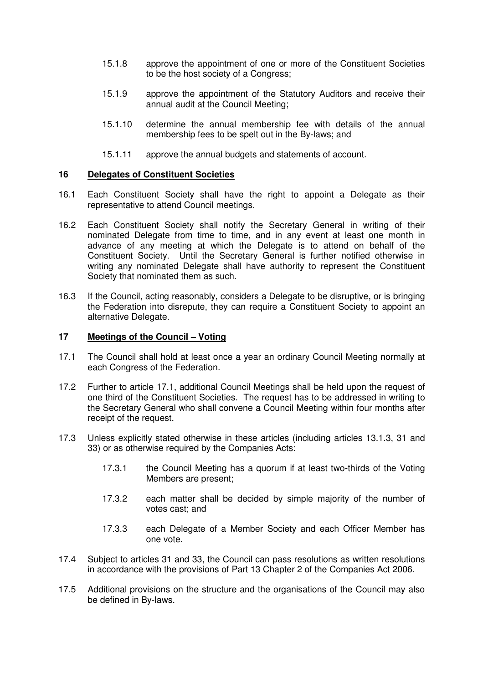- 15.1.8 approve the appointment of one or more of the Constituent Societies to be the host society of a Congress;
- 15.1.9 approve the appointment of the Statutory Auditors and receive their annual audit at the Council Meeting;
- 15.1.10 determine the annual membership fee with details of the annual membership fees to be spelt out in the By-laws; and
- 15.1.11 approve the annual budgets and statements of account.

### **16 Delegates of Constituent Societies**

- 16.1 Each Constituent Society shall have the right to appoint a Delegate as their representative to attend Council meetings.
- 16.2 Each Constituent Society shall notify the Secretary General in writing of their nominated Delegate from time to time, and in any event at least one month in advance of any meeting at which the Delegate is to attend on behalf of the Constituent Society. Until the Secretary General is further notified otherwise in writing any nominated Delegate shall have authority to represent the Constituent Society that nominated them as such.
- 16.3 If the Council, acting reasonably, considers a Delegate to be disruptive, or is bringing the Federation into disrepute, they can require a Constituent Society to appoint an alternative Delegate.

# **17 Meetings of the Council – Voting**

- 17.1 The Council shall hold at least once a year an ordinary Council Meeting normally at each Congress of the Federation.
- 17.2 Further to article 17.1, additional Council Meetings shall be held upon the request of one third of the Constituent Societies. The request has to be addressed in writing to the Secretary General who shall convene a Council Meeting within four months after receipt of the request.
- 17.3 Unless explicitly stated otherwise in these articles (including articles 13.1.3, 31 and 33) or as otherwise required by the Companies Acts:
	- 17.3.1 the Council Meeting has a quorum if at least two-thirds of the Voting Members are present;
	- 17.3.2 each matter shall be decided by simple majority of the number of votes cast; and
	- 17.3.3 each Delegate of a Member Society and each Officer Member has one vote.
- 17.4 Subject to articles 31 and 33, the Council can pass resolutions as written resolutions in accordance with the provisions of Part 13 Chapter 2 of the Companies Act 2006.
- 17.5 Additional provisions on the structure and the organisations of the Council may also be defined in By-laws.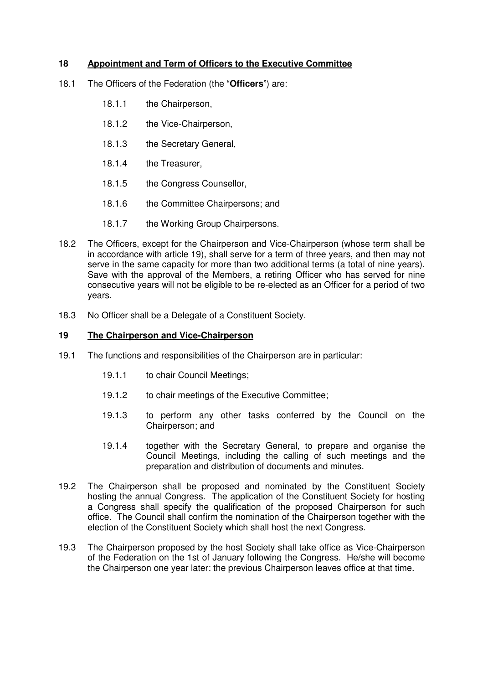# **18 Appointment and Term of Officers to the Executive Committee**

- 18.1 The Officers of the Federation (the "**Officers**") are:
	- 18.1.1 the Chairperson.
	- 18.1.2 the Vice-Chairperson,
	- 18.1.3 the Secretary General,
	- 18.1.4 the Treasurer,
	- 18.1.5 the Congress Counsellor,
	- 18.1.6 the Committee Chairpersons; and
	- 18.1.7 the Working Group Chairpersons.
- 18.2 The Officers, except for the Chairperson and Vice-Chairperson (whose term shall be in accordance with article 19), shall serve for a term of three years, and then may not serve in the same capacity for more than two additional terms (a total of nine years). Save with the approval of the Members, a retiring Officer who has served for nine consecutive years will not be eligible to be re-elected as an Officer for a period of two years.
- 18.3 No Officer shall be a Delegate of a Constituent Society.

#### **19 The Chairperson and Vice-Chairperson**

- 19.1 The functions and responsibilities of the Chairperson are in particular:
	- 19.1.1 to chair Council Meetings;
	- 19.1.2 to chair meetings of the Executive Committee;
	- 19.1.3 to perform any other tasks conferred by the Council on the Chairperson; and
	- 19.1.4 together with the Secretary General, to prepare and organise the Council Meetings, including the calling of such meetings and the preparation and distribution of documents and minutes.
- 19.2 The Chairperson shall be proposed and nominated by the Constituent Society hosting the annual Congress. The application of the Constituent Society for hosting a Congress shall specify the qualification of the proposed Chairperson for such office. The Council shall confirm the nomination of the Chairperson together with the election of the Constituent Society which shall host the next Congress.
- 19.3 The Chairperson proposed by the host Society shall take office as Vice-Chairperson of the Federation on the 1st of January following the Congress. He/she will become the Chairperson one year later: the previous Chairperson leaves office at that time.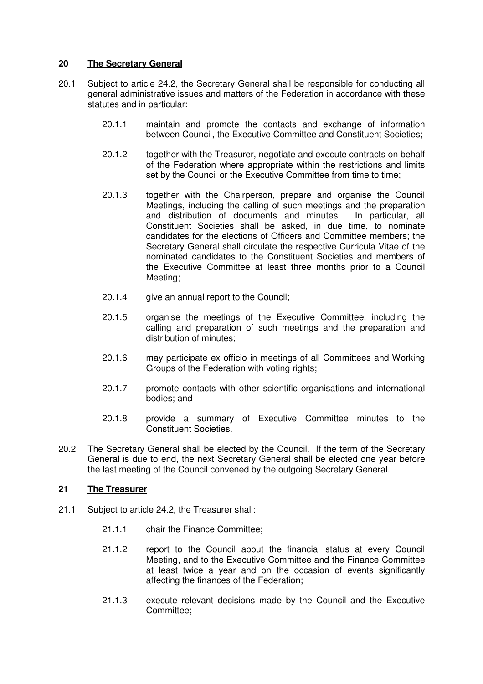# **20 The Secretary General**

- 20.1 Subject to article 24.2, the Secretary General shall be responsible for conducting all general administrative issues and matters of the Federation in accordance with these statutes and in particular:
	- 20.1.1 maintain and promote the contacts and exchange of information between Council, the Executive Committee and Constituent Societies;
	- 20.1.2 together with the Treasurer, negotiate and execute contracts on behalf of the Federation where appropriate within the restrictions and limits set by the Council or the Executive Committee from time to time;
	- 20.1.3 together with the Chairperson, prepare and organise the Council Meetings, including the calling of such meetings and the preparation and distribution of documents and minutes. In particular, all Constituent Societies shall be asked, in due time, to nominate candidates for the elections of Officers and Committee members; the Secretary General shall circulate the respective Curricula Vitae of the nominated candidates to the Constituent Societies and members of the Executive Committee at least three months prior to a Council Meeting;
	- 20.1.4 give an annual report to the Council;
	- 20.1.5 organise the meetings of the Executive Committee, including the calling and preparation of such meetings and the preparation and distribution of minutes;
	- 20.1.6 may participate ex officio in meetings of all Committees and Working Groups of the Federation with voting rights;
	- 20.1.7 promote contacts with other scientific organisations and international bodies; and
	- 20.1.8 provide a summary of Executive Committee minutes to the Constituent Societies.
- 20.2 The Secretary General shall be elected by the Council. If the term of the Secretary General is due to end, the next Secretary General shall be elected one year before the last meeting of the Council convened by the outgoing Secretary General.

# **21 The Treasurer**

- 21.1 Subject to article 24.2, the Treasurer shall:
	- 21.1.1 chair the Finance Committee;
	- 21.1.2 report to the Council about the financial status at every Council Meeting, and to the Executive Committee and the Finance Committee at least twice a year and on the occasion of events significantly affecting the finances of the Federation;
	- 21.1.3 execute relevant decisions made by the Council and the Executive Committee;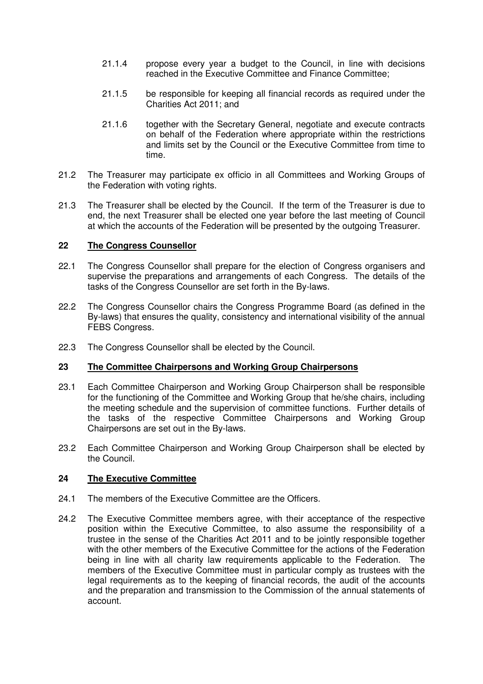- 21.1.4 propose every year a budget to the Council, in line with decisions reached in the Executive Committee and Finance Committee;
- 21.1.5 be responsible for keeping all financial records as required under the Charities Act 2011; and
- 21.1.6 together with the Secretary General, negotiate and execute contracts on behalf of the Federation where appropriate within the restrictions and limits set by the Council or the Executive Committee from time to time.
- 21.2 The Treasurer may participate ex officio in all Committees and Working Groups of the Federation with voting rights.
- 21.3 The Treasurer shall be elected by the Council. If the term of the Treasurer is due to end, the next Treasurer shall be elected one year before the last meeting of Council at which the accounts of the Federation will be presented by the outgoing Treasurer.

# **22 The Congress Counsellor**

- 22.1 The Congress Counsellor shall prepare for the election of Congress organisers and supervise the preparations and arrangements of each Congress. The details of the tasks of the Congress Counsellor are set forth in the By-laws.
- 22.2 The Congress Counsellor chairs the Congress Programme Board (as defined in the By-laws) that ensures the quality, consistency and international visibility of the annual FEBS Congress.
- 22.3 The Congress Counsellor shall be elected by the Council.

#### **23 The Committee Chairpersons and Working Group Chairpersons**

- 23.1 Each Committee Chairperson and Working Group Chairperson shall be responsible for the functioning of the Committee and Working Group that he/she chairs, including the meeting schedule and the supervision of committee functions. Further details of the tasks of the respective Committee Chairpersons and Working Group Chairpersons are set out in the By-laws.
- 23.2 Each Committee Chairperson and Working Group Chairperson shall be elected by the Council.

# **24 The Executive Committee**

- 24.1 The members of the Executive Committee are the Officers.
- 24.2 The Executive Committee members agree, with their acceptance of the respective position within the Executive Committee, to also assume the responsibility of a trustee in the sense of the Charities Act 2011 and to be jointly responsible together with the other members of the Executive Committee for the actions of the Federation being in line with all charity law requirements applicable to the Federation. The members of the Executive Committee must in particular comply as trustees with the legal requirements as to the keeping of financial records, the audit of the accounts and the preparation and transmission to the Commission of the annual statements of account.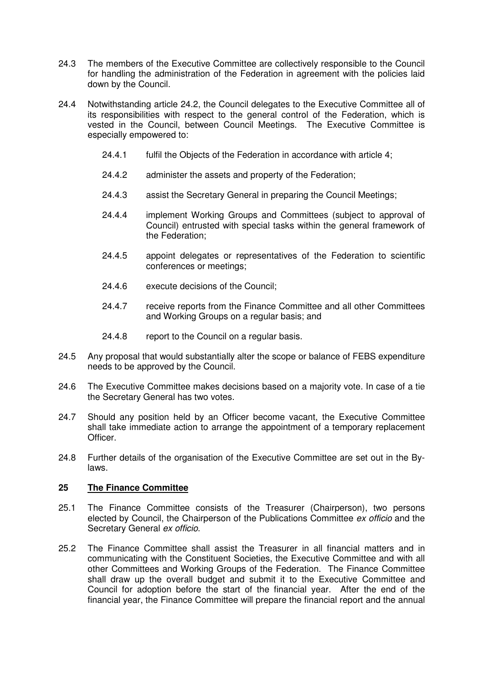- 24.3 The members of the Executive Committee are collectively responsible to the Council for handling the administration of the Federation in agreement with the policies laid down by the Council.
- 24.4 Notwithstanding article 24.2, the Council delegates to the Executive Committee all of its responsibilities with respect to the general control of the Federation, which is vested in the Council, between Council Meetings. The Executive Committee is especially empowered to:
	- 24.4.1 fulfil the Objects of the Federation in accordance with article 4;
	- 24.4.2 administer the assets and property of the Federation;
	- 24.4.3 assist the Secretary General in preparing the Council Meetings;
	- 24.4.4 implement Working Groups and Committees (subject to approval of Council) entrusted with special tasks within the general framework of the Federation;
	- 24.4.5 appoint delegates or representatives of the Federation to scientific conferences or meetings;
	- 24.4.6 execute decisions of the Council;
	- 24.4.7 receive reports from the Finance Committee and all other Committees and Working Groups on a regular basis; and
	- 24.4.8 report to the Council on a regular basis.
- 24.5 Any proposal that would substantially alter the scope or balance of FEBS expenditure needs to be approved by the Council.
- 24.6 The Executive Committee makes decisions based on a majority vote. In case of a tie the Secretary General has two votes.
- 24.7 Should any position held by an Officer become vacant, the Executive Committee shall take immediate action to arrange the appointment of a temporary replacement Officer.
- 24.8 Further details of the organisation of the Executive Committee are set out in the Bylaws.

# **25 The Finance Committee**

- 25.1 The Finance Committee consists of the Treasurer (Chairperson), two persons elected by Council, the Chairperson of the Publications Committee ex officio and the Secretary General ex officio.
- 25.2 The Finance Committee shall assist the Treasurer in all financial matters and in communicating with the Constituent Societies, the Executive Committee and with all other Committees and Working Groups of the Federation. The Finance Committee shall draw up the overall budget and submit it to the Executive Committee and Council for adoption before the start of the financial year. After the end of the financial year, the Finance Committee will prepare the financial report and the annual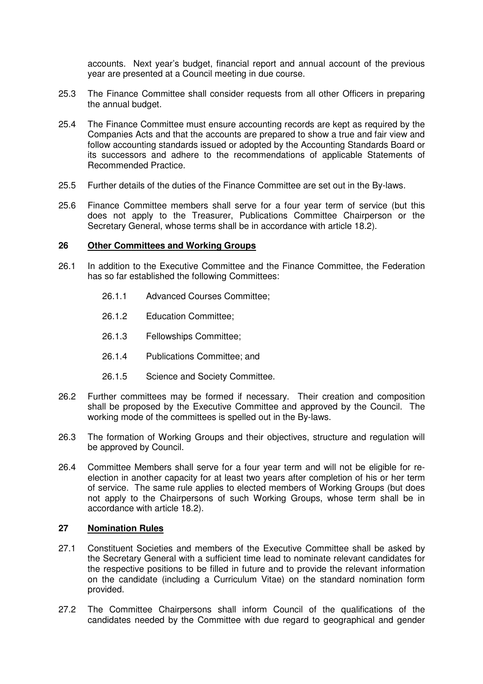accounts. Next year's budget, financial report and annual account of the previous year are presented at a Council meeting in due course.

- 25.3 The Finance Committee shall consider requests from all other Officers in preparing the annual budget.
- 25.4 The Finance Committee must ensure accounting records are kept as required by the Companies Acts and that the accounts are prepared to show a true and fair view and follow accounting standards issued or adopted by the Accounting Standards Board or its successors and adhere to the recommendations of applicable Statements of Recommended Practice.
- 25.5 Further details of the duties of the Finance Committee are set out in the By-laws.
- 25.6 Finance Committee members shall serve for a four year term of service (but this does not apply to the Treasurer, Publications Committee Chairperson or the Secretary General, whose terms shall be in accordance with article 18.2).

#### **26 Other Committees and Working Groups**

- 26.1 In addition to the Executive Committee and the Finance Committee, the Federation has so far established the following Committees:
	- 26.1.1 Advanced Courses Committee;
	- 26.1.2 Education Committee;
	- 26.1.3 Fellowships Committee;
	- 26.1.4 Publications Committee; and
	- 26.1.5 Science and Society Committee.
- 26.2 Further committees may be formed if necessary. Their creation and composition shall be proposed by the Executive Committee and approved by the Council. The working mode of the committees is spelled out in the By-laws.
- 26.3 The formation of Working Groups and their objectives, structure and regulation will be approved by Council.
- 26.4 Committee Members shall serve for a four year term and will not be eligible for reelection in another capacity for at least two years after completion of his or her term of service. The same rule applies to elected members of Working Groups (but does not apply to the Chairpersons of such Working Groups, whose term shall be in accordance with article 18.2).

### **27 Nomination Rules**

- 27.1 Constituent Societies and members of the Executive Committee shall be asked by the Secretary General with a sufficient time lead to nominate relevant candidates for the respective positions to be filled in future and to provide the relevant information on the candidate (including a Curriculum Vitae) on the standard nomination form provided.
- 27.2 The Committee Chairpersons shall inform Council of the qualifications of the candidates needed by the Committee with due regard to geographical and gender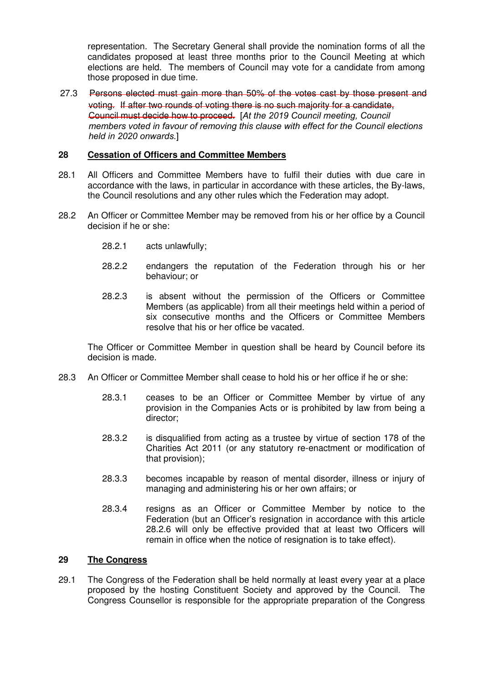representation. The Secretary General shall provide the nomination forms of all the candidates proposed at least three months prior to the Council Meeting at which elections are held. The members of Council may vote for a candidate from among those proposed in due time.

27.3 Persons elected must gain more than 50% of the votes cast by those present and voting. If after two rounds of voting there is no such majority for a candidate, Council must decide how to proceed. [*At the 2019 Council meeting, Council members voted in favour of removing this clause with effect for the Council elections held in 2020 onwards.*]

# **28 Cessation of Officers and Committee Members**

- 28.1 All Officers and Committee Members have to fulfil their duties with due care in accordance with the laws, in particular in accordance with these articles, the By-laws, the Council resolutions and any other rules which the Federation may adopt.
- 28.2 An Officer or Committee Member may be removed from his or her office by a Council decision if he or she:
	- 28.2.1 acts unlawfully;
	- 28.2.2 endangers the reputation of the Federation through his or her behaviour; or
	- 28.2.3 is absent without the permission of the Officers or Committee Members (as applicable) from all their meetings held within a period of six consecutive months and the Officers or Committee Members resolve that his or her office be vacated.

The Officer or Committee Member in question shall be heard by Council before its decision is made.

- 28.3 An Officer or Committee Member shall cease to hold his or her office if he or she:
	- 28.3.1 ceases to be an Officer or Committee Member by virtue of any provision in the Companies Acts or is prohibited by law from being a director;
	- 28.3.2 is disqualified from acting as a trustee by virtue of section 178 of the Charities Act 2011 (or any statutory re-enactment or modification of that provision);
	- 28.3.3 becomes incapable by reason of mental disorder, illness or injury of managing and administering his or her own affairs; or
	- 28.3.4 resigns as an Officer or Committee Member by notice to the Federation (but an Officer's resignation in accordance with this article 28.2.6 will only be effective provided that at least two Officers will remain in office when the notice of resignation is to take effect).

# **29 The Congress**

29.1 The Congress of the Federation shall be held normally at least every year at a place proposed by the hosting Constituent Society and approved by the Council. The Congress Counsellor is responsible for the appropriate preparation of the Congress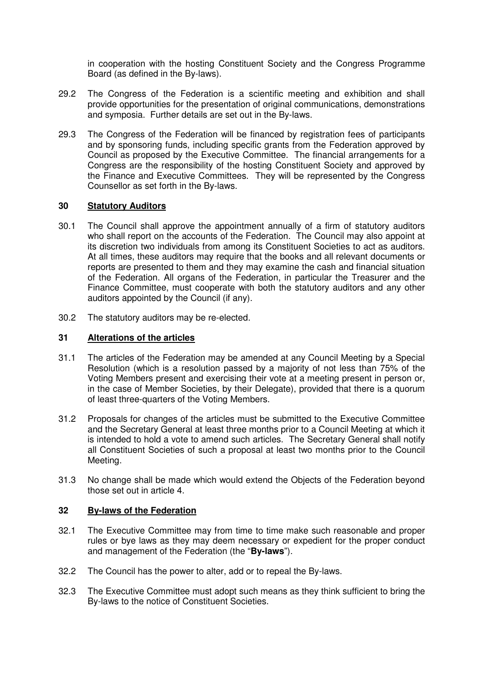in cooperation with the hosting Constituent Society and the Congress Programme Board (as defined in the By-laws).

- 29.2 The Congress of the Federation is a scientific meeting and exhibition and shall provide opportunities for the presentation of original communications, demonstrations and symposia. Further details are set out in the By-laws.
- 29.3 The Congress of the Federation will be financed by registration fees of participants and by sponsoring funds, including specific grants from the Federation approved by Council as proposed by the Executive Committee. The financial arrangements for a Congress are the responsibility of the hosting Constituent Society and approved by the Finance and Executive Committees. They will be represented by the Congress Counsellor as set forth in the By-laws.

#### **30 Statutory Auditors**

- 30.1 The Council shall approve the appointment annually of a firm of statutory auditors who shall report on the accounts of the Federation. The Council may also appoint at its discretion two individuals from among its Constituent Societies to act as auditors. At all times, these auditors may require that the books and all relevant documents or reports are presented to them and they may examine the cash and financial situation of the Federation. All organs of the Federation, in particular the Treasurer and the Finance Committee, must cooperate with both the statutory auditors and any other auditors appointed by the Council (if any).
- 30.2 The statutory auditors may be re-elected.

### **31 Alterations of the articles**

- 31.1 The articles of the Federation may be amended at any Council Meeting by a Special Resolution (which is a resolution passed by a majority of not less than 75% of the Voting Members present and exercising their vote at a meeting present in person or, in the case of Member Societies, by their Delegate), provided that there is a quorum of least three-quarters of the Voting Members.
- 31.2 Proposals for changes of the articles must be submitted to the Executive Committee and the Secretary General at least three months prior to a Council Meeting at which it is intended to hold a vote to amend such articles. The Secretary General shall notify all Constituent Societies of such a proposal at least two months prior to the Council Meeting.
- 31.3 No change shall be made which would extend the Objects of the Federation beyond those set out in article 4.

#### **32 By-laws of the Federation**

- 32.1 The Executive Committee may from time to time make such reasonable and proper rules or bye laws as they may deem necessary or expedient for the proper conduct and management of the Federation (the "**By-laws**").
- 32.2 The Council has the power to alter, add or to repeal the By-laws.
- 32.3 The Executive Committee must adopt such means as they think sufficient to bring the By-laws to the notice of Constituent Societies.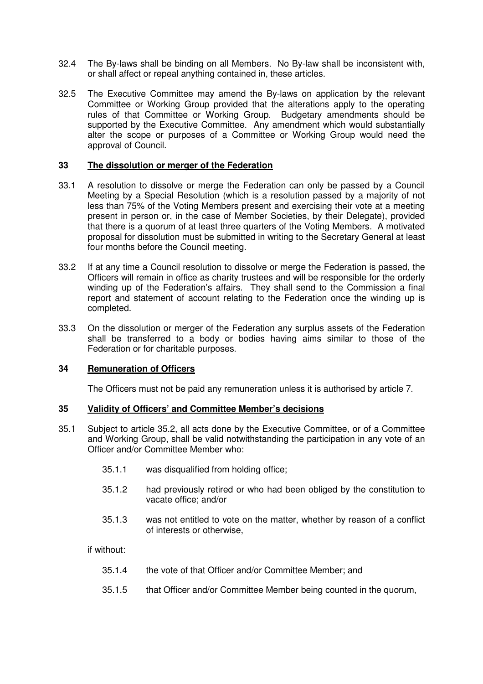- 32.4 The By-laws shall be binding on all Members. No By-law shall be inconsistent with, or shall affect or repeal anything contained in, these articles.
- 32.5 The Executive Committee may amend the By-laws on application by the relevant Committee or Working Group provided that the alterations apply to the operating rules of that Committee or Working Group. Budgetary amendments should be supported by the Executive Committee. Any amendment which would substantially alter the scope or purposes of a Committee or Working Group would need the approval of Council.

# **33 The dissolution or merger of the Federation**

- 33.1 A resolution to dissolve or merge the Federation can only be passed by a Council Meeting by a Special Resolution (which is a resolution passed by a majority of not less than 75% of the Voting Members present and exercising their vote at a meeting present in person or, in the case of Member Societies, by their Delegate), provided that there is a quorum of at least three quarters of the Voting Members. A motivated proposal for dissolution must be submitted in writing to the Secretary General at least four months before the Council meeting.
- 33.2 If at any time a Council resolution to dissolve or merge the Federation is passed, the Officers will remain in office as charity trustees and will be responsible for the orderly winding up of the Federation's affairs. They shall send to the Commission a final report and statement of account relating to the Federation once the winding up is completed.
- 33.3 On the dissolution or merger of the Federation any surplus assets of the Federation shall be transferred to a body or bodies having aims similar to those of the Federation or for charitable purposes.

#### **34 Remuneration of Officers**

The Officers must not be paid any remuneration unless it is authorised by article 7.

#### **35 Validity of Officers' and Committee Member's decisions**

- 35.1 Subject to article 35.2, all acts done by the Executive Committee, or of a Committee and Working Group, shall be valid notwithstanding the participation in any vote of an Officer and/or Committee Member who:
	- 35.1.1 was disqualified from holding office;
	- 35.1.2 had previously retired or who had been obliged by the constitution to vacate office; and/or
	- 35.1.3 was not entitled to vote on the matter, whether by reason of a conflict of interests or otherwise,

if without:

- 35.1.4 the vote of that Officer and/or Committee Member; and
- 35.1.5 that Officer and/or Committee Member being counted in the quorum,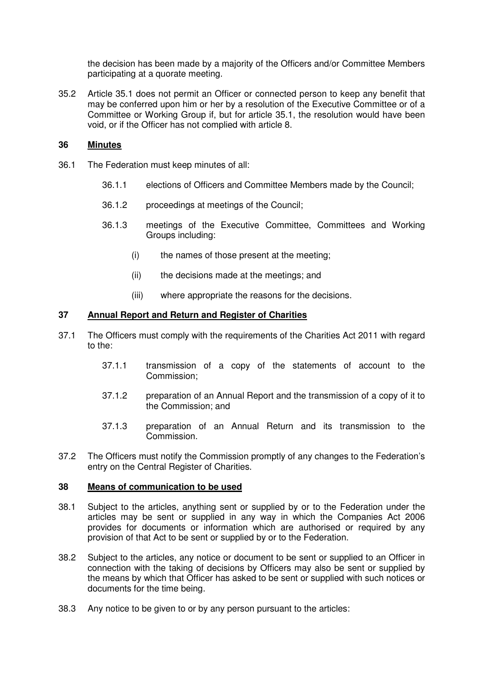the decision has been made by a majority of the Officers and/or Committee Members participating at a quorate meeting.

35.2 Article 35.1 does not permit an Officer or connected person to keep any benefit that may be conferred upon him or her by a resolution of the Executive Committee or of a Committee or Working Group if, but for article 35.1, the resolution would have been void, or if the Officer has not complied with article 8.

#### **36 Minutes**

- 36.1 The Federation must keep minutes of all:
	- 36.1.1 elections of Officers and Committee Members made by the Council;
	- 36.1.2 proceedings at meetings of the Council;
	- 36.1.3 meetings of the Executive Committee, Committees and Working Groups including:
		- (i) the names of those present at the meeting;
		- (ii) the decisions made at the meetings; and
		- (iii) where appropriate the reasons for the decisions.

# **37 Annual Report and Return and Register of Charities**

- 37.1 The Officers must comply with the requirements of the Charities Act 2011 with regard to the:
	- 37.1.1 transmission of a copy of the statements of account to the Commission;
	- 37.1.2 preparation of an Annual Report and the transmission of a copy of it to the Commission; and
	- 37.1.3 preparation of an Annual Return and its transmission to the Commission.
- 37.2 The Officers must notify the Commission promptly of any changes to the Federation's entry on the Central Register of Charities.

#### **38 Means of communication to be used**

- 38.1 Subject to the articles, anything sent or supplied by or to the Federation under the articles may be sent or supplied in any way in which the Companies Act 2006 provides for documents or information which are authorised or required by any provision of that Act to be sent or supplied by or to the Federation.
- 38.2 Subject to the articles, any notice or document to be sent or supplied to an Officer in connection with the taking of decisions by Officers may also be sent or supplied by the means by which that Officer has asked to be sent or supplied with such notices or documents for the time being.
- 38.3 Any notice to be given to or by any person pursuant to the articles: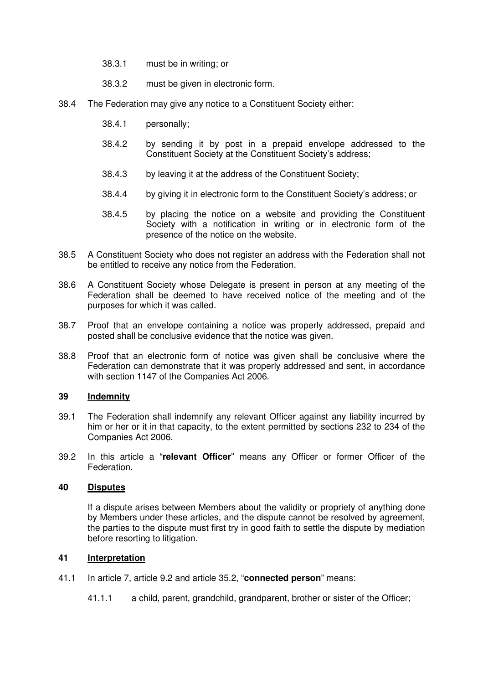- 38.3.1 must be in writing; or
- 38.3.2 must be given in electronic form.
- 38.4 The Federation may give any notice to a Constituent Society either:
	- 38.4.1 personally;
	- 38.4.2 by sending it by post in a prepaid envelope addressed to the Constituent Society at the Constituent Society's address;
	- 38.4.3 by leaving it at the address of the Constituent Society;
	- 38.4.4 by giving it in electronic form to the Constituent Society's address; or
	- 38.4.5 by placing the notice on a website and providing the Constituent Society with a notification in writing or in electronic form of the presence of the notice on the website.
- 38.5 A Constituent Society who does not register an address with the Federation shall not be entitled to receive any notice from the Federation.
- 38.6 A Constituent Society whose Delegate is present in person at any meeting of the Federation shall be deemed to have received notice of the meeting and of the purposes for which it was called.
- 38.7 Proof that an envelope containing a notice was properly addressed, prepaid and posted shall be conclusive evidence that the notice was given.
- 38.8 Proof that an electronic form of notice was given shall be conclusive where the Federation can demonstrate that it was properly addressed and sent, in accordance with section 1147 of the Companies Act 2006.

# **39 Indemnity**

- 39.1 The Federation shall indemnify any relevant Officer against any liability incurred by him or her or it in that capacity, to the extent permitted by sections 232 to 234 of the Companies Act 2006.
- 39.2 In this article a "**relevant Officer**" means any Officer or former Officer of the Federation.

# **40 Disputes**

If a dispute arises between Members about the validity or propriety of anything done by Members under these articles, and the dispute cannot be resolved by agreement, the parties to the dispute must first try in good faith to settle the dispute by mediation before resorting to litigation.

# **41 Interpretation**

- 41.1 In article 7, article 9.2 and article 35.2, "**connected person**" means:
	- 41.1.1 a child, parent, grandchild, grandparent, brother or sister of the Officer;